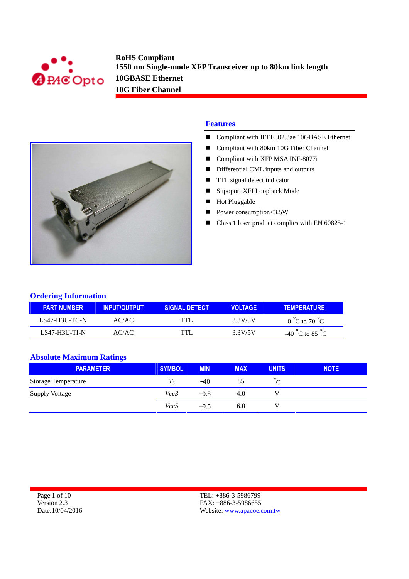



- Compliant with IEEE802.3ae 10GBASE Ethernet
- Compliant with 80km 10G Fiber Channel
- Compliant with XFP MSA INF-8077i
- Differential CML inputs and outputs
- **TTL** signal detect indicator
- Supoport XFI Loopback Mode
- Hot Pluggable
- Power consumption<3.5W
- Class 1 laser product complies with EN 60825-1

#### **Ordering Information**

| <b>PART NUMBER</b>   | <b>INPUT/OUTPUT</b> | <b>SIGNAL DETECT</b> | VOI TAGF | <b>TEMPERATURE</b>                  |
|----------------------|---------------------|----------------------|----------|-------------------------------------|
| LS47-H3U-TC-N        | AC/AC               | TTL                  | 3.3V/5V  | $0^{\circ}$ C to $70^{\circ}$ C     |
| <b>LS47-H3U-TI-N</b> | AC/AC               | TTI                  | 3.3V/5V  | -40 $^{\circ}$ C to 85 $^{\circ}$ C |

#### **Absolute Maximum Ratings**

| <b>PARAMETER</b>           | SYMBOL | <b>MIN</b> | <b>MAX</b> | <b>UNITS</b> | <b>NOTE</b> |
|----------------------------|--------|------------|------------|--------------|-------------|
| <b>Storage Temperature</b> | 1 c    | $-40$      | 85         |              |             |
| <b>Supply Voltage</b>      | Vcc3   | $-0.5$     | 4.0        |              |             |
|                            | Vcc5   | $-0.5$     | 6.0        |              |             |

Page 1 of 10 Version 2.3 Date:10/04/2016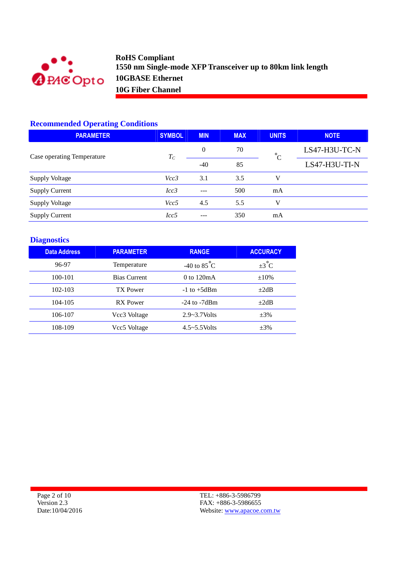

## **Recommended Operating Conditions**

| <b>PARAMETER</b>           | <b>SYMBOL</b> | <b>MIN</b> | <b>MAX</b> | <b>UNITS</b> | <b>NOTE</b>   |
|----------------------------|---------------|------------|------------|--------------|---------------|
| Case operating Temperature | $T_C$         | $\theta$   | 70         | $^{\circ}C$  | LS47-H3U-TC-N |
|                            |               | $-40$      | 85         |              | LS47-H3U-TI-N |
| <b>Supply Voltage</b>      | Vcc3          | 3.1        | 3.5        | v            |               |
| <b>Supply Current</b>      | Icc3          | ---        | 500        | mA           |               |
| <b>Supply Voltage</b>      | Vcc5          | 4.5        | 5.5        | v            |               |
| <b>Supply Current</b>      | Icc5          | ---        | 350        | mA           |               |

# **Diagnostics**

| <b>Data Address</b> | <b>PARAMETER</b>    | <b>RANGE</b>                  | <b>ACCURACY</b>   |
|---------------------|---------------------|-------------------------------|-------------------|
| 96-97               | Temperature         | -40 to $85^{\circ}$ C         | $\pm 3^{\circ}$ C |
| 100-101             | <b>Bias Current</b> | $0 \text{ to } 120 \text{mA}$ | $\pm 10\%$        |
| $102 - 103$         | TX Power            | $-1$ to $+5dBm$               | $+2dB$            |
| 104-105             | RX Power            | $-24$ to $-7d$ Bm             | $+2dB$            |
| 106-107             | Vcc3 Voltage        | $2.9 - 3.7$ Volts             | $\pm 3\%$         |
| 108-109             | Vcc5 Voltage        | $4.5 - 5.5$ Volts             | $\pm 3\%$         |

Page 2 of 10 Version 2.3 Date:10/04/2016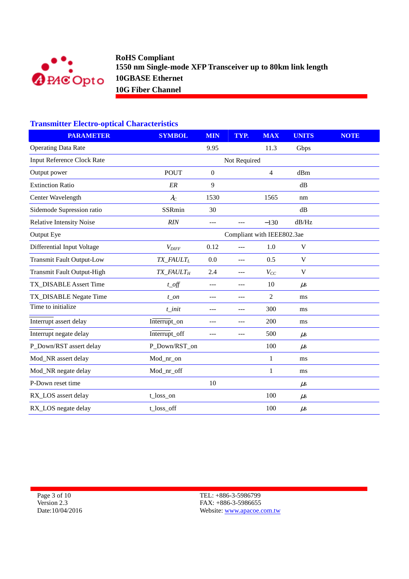

## **Transmitter Electro-optical Characteristics**

| <b>PARAMETER</b>                  | <b>SYMBOL</b>                            | <b>MIN</b>     | TYP.                       | <b>MAX</b>     | <b>UNITS</b>    | <b>NOTE</b> |
|-----------------------------------|------------------------------------------|----------------|----------------------------|----------------|-----------------|-------------|
| <b>Operating Data Rate</b>        |                                          | 9.95           |                            | 11.3           | Gbps            |             |
| <b>Input Reference Clock Rate</b> | Not Required                             |                |                            |                |                 |             |
| Output power                      | <b>POUT</b>                              | $\overline{0}$ |                            | $\overline{4}$ | dBm             |             |
| <b>Extinction Ratio</b>           | ER                                       | 9              |                            |                | dB              |             |
| Center Wavelength                 | $\lambda_C$                              | 1530           |                            | 1565           | nm              |             |
| Sidemode Supression ratio         | SSRmin                                   | 30             |                            |                | dB              |             |
| <b>Relative Intensity Noise</b>   | RIN                                      | $---$          | $---$                      | $-130$         | dB/Hz           |             |
| Output Eye                        |                                          |                | Compliant with IEEE802.3ae |                |                 |             |
| Differential Input Voltage        | $V_{DIFF}$                               | 0.12           | ---                        | 1.0            | V               |             |
| <b>Transmit Fault Output-Low</b>  | $TX$ <sub>_FAULT<sub>L</sub></sub>       | $0.0\,$        | $---$                      | 0.5            | $\mathbf V$     |             |
| <b>Transmit Fault Output-High</b> | $TX$ <sub><math>FAULT</math>H</sub>      | 2.4            | $---$                      | $V_{CC}$       | V               |             |
| TX_DISABLE Assert Time            | $t$ <sub><math>-</math></sub> <i>off</i> | $---$          | $---$                      | 10             | $\mu$ s         |             |
| TX_DISABLE Negate Time            | $t$ on                                   |                |                            | $\overline{2}$ | ms              |             |
| Time to initialize                | $t$ _init                                |                | ---                        | 300            | ms              |             |
| Interrupt assert delay            | Interrupt_on                             | ---            | $---$                      | 200            | ms              |             |
| Interrupt negate delay            | Interrupt_off                            | ---            | ---                        | 500            | $\mu$ s         |             |
| P_Down/RST assert delay           | P_Down/RST_on                            |                |                            | 100            | $\mu$ s         |             |
| Mod_NR assert delay               | Mod_nr_on                                |                |                            | $\mathbf{1}$   | ms              |             |
| Mod_NR negate delay               | Mod_nr_off                               |                |                            | 1              | ms              |             |
| P-Down reset time                 |                                          | 10             |                            |                | $\mu$ s         |             |
| RX_LOS assert delay               | t_loss_on                                |                |                            | 100            | $\mu$ s         |             |
| RX_LOS negate delay               | t_loss_off                               |                |                            | 100            | $\mu\mathrm{s}$ |             |

Page 3 of 10 Version 2.3 Date:10/04/2016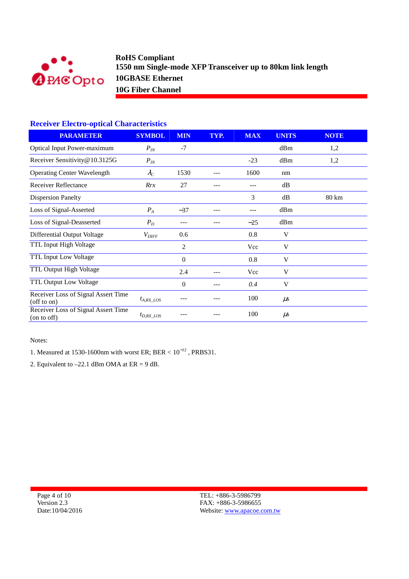

## **Receiver Electro-optical Characteristics**

| <b>PARAMETER</b>                                         | <b>SYMBOL</b>     | <b>MIN</b>     | TYP. | <b>MAX</b> | <b>UNITS</b> | <b>NOTE</b> |
|----------------------------------------------------------|-------------------|----------------|------|------------|--------------|-------------|
| <b>Optical Input Power-maximum</b>                       | $P_{IN}$          | $-7$           |      |            | dBm          | 1,2         |
| Receiver Sensitivity@10.3125G                            | $P_{IN}$          |                |      | $-23$      | dBm          | 1,2         |
| <b>Operating Center Wavelength</b>                       | $\lambda_C$       | 1530           |      | 1600       | nm           |             |
| Receiver Reflectance                                     | Rrx               | 27             |      |            | dB           |             |
| <b>Dispersion Panelty</b>                                |                   |                |      | 3          | dB           | 80 km       |
| Loss of Signal-Asserted                                  | $P_A$             | $-37$          |      | ---        | dBm          |             |
| Loss of Signal-Deasserted                                | $P_D$             | $---$          |      | $-25$      | dBm          |             |
| Differential Output Voltage                              | $V_{\text{DIFF}}$ | 0.6            |      | 0.8        | V            |             |
| TTL Input High Voltage                                   |                   | 2              |      | Vcc        | V            |             |
| <b>TTL Input Low Voltage</b>                             |                   | $\overline{0}$ |      | 0.8        | V            |             |
| TTL Output High Voltage                                  |                   | 2.4            |      | Vcc        | V            |             |
| <b>TTL Output Low Voltage</b>                            |                   | 0              |      | 0.4        | V            |             |
| Receiver Loss of Signal Assert Time<br>$($ off to on $)$ | $t_{A, RX}$ los   |                |      | 100        | $\mu$ s      |             |
| Receiver Loss of Signal Assert Time<br>(on to off)       | $t_{D,RX}$ LOS    |                |      | 100        | $\mu$ s      |             |

Notes:

1. Measured at 1530-1600nm with worst ER; BER <  $10^{-12}$ , PRBS31.

2. Equivalent to  $-22.1$  dBm OMA at ER = 9 dB.

Page 4 of 10 Version 2.3 Date:10/04/2016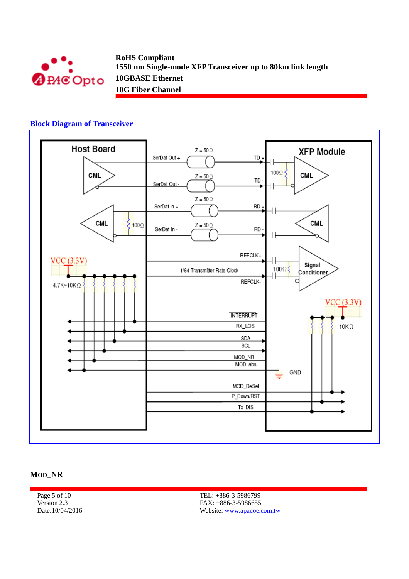

#### **Block Diagram of Transceiver**



#### **MOD\_NR**

Page 5 of 10 Version 2.3 Date:10/04/2016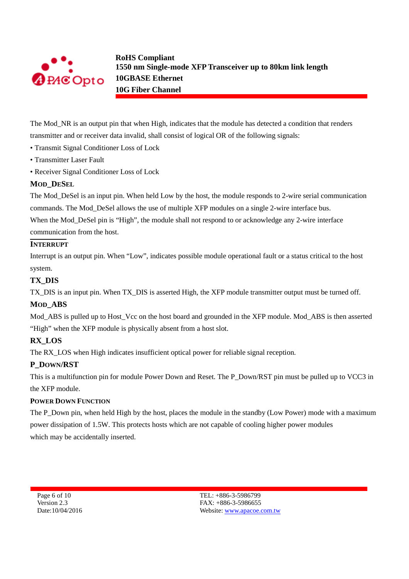

The Mod\_NR is an output pin that when High, indicates that the module has detected a condition that renders transmitter and or receiver data invalid, shall consist of logical OR of the following signals:

- Transmit Signal Conditioner Loss of Lock
- Transmitter Laser Fault
- Receiver Signal Conditioner Loss of Lock

### **MOD\_DESEL**

The Mod\_DeSel is an input pin. When held Low by the host, the module responds to 2-wire serial communication commands. The Mod\_DeSel allows the use of multiple XFP modules on a single 2-wire interface bus. When the Mod DeSel pin is "High", the module shall not respond to or acknowledge any 2-wire interface communication from the host.

### **INTERRUPT**

Interrupt is an output pin. When "Low", indicates possible module operational fault or a status critical to the host system.

### **TX\_DIS**

TX\_DIS is an input pin. When TX\_DIS is asserted High, the XFP module transmitter output must be turned off.

## **MOD\_ABS**

Mod\_ABS is pulled up to Host\_Vcc on the host board and grounded in the XFP module. Mod\_ABS is then asserted "High" when the XFP module is physically absent from a host slot.

## **RX\_LOS**

The RX LOS when High indicates insufficient optical power for reliable signal reception.

## **P\_DOWN/RST**

This is a multifunction pin for module Power Down and Reset. The P\_Down/RST pin must be pulled up to VCC3 in the XFP module.

### **POWER DOWN FUNCTION**

The P\_Down pin, when held High by the host, places the module in the standby (Low Power) mode with a maximum power dissipation of 1.5W. This protects hosts which are not capable of cooling higher power modules which may be accidentally inserted.

Page 6 of 10 Version 2.3 Date:10/04/2016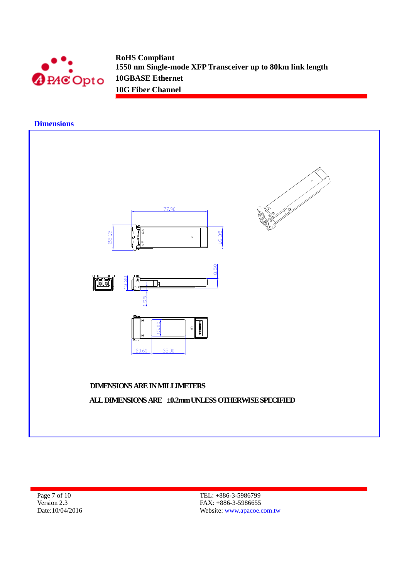

#### **Dimensions**



Page 7 of 10 Version 2.3 Date:10/04/2016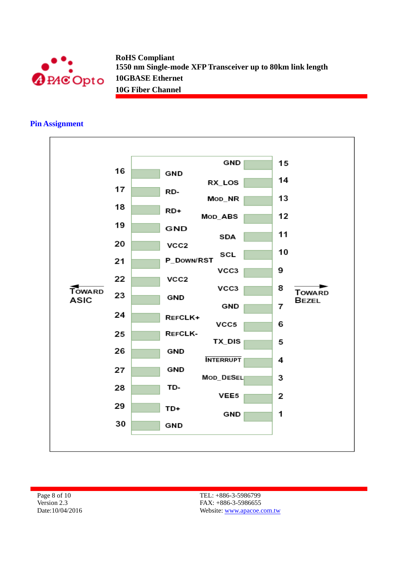

### **Pin Assignment**



Page 8 of 10 Version 2.3 Date:10/04/2016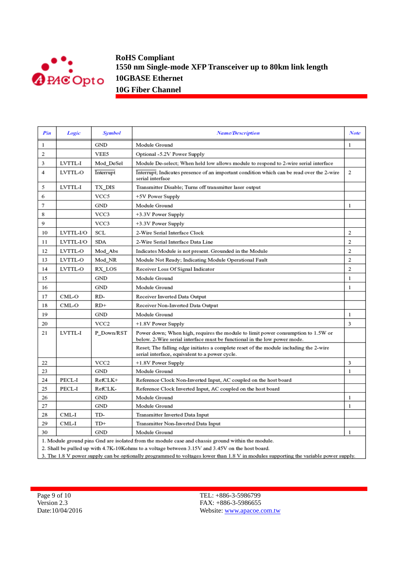

| Pin            | Logic                                                                                                                                                                                                                                                                                                                               | Symbol           | <b>Name/Description</b>                                                                                                                                      | Note           |  |  |  |
|----------------|-------------------------------------------------------------------------------------------------------------------------------------------------------------------------------------------------------------------------------------------------------------------------------------------------------------------------------------|------------------|--------------------------------------------------------------------------------------------------------------------------------------------------------------|----------------|--|--|--|
| 1              |                                                                                                                                                                                                                                                                                                                                     | GND              | Module Ground                                                                                                                                                | 1              |  |  |  |
| $\overline{2}$ |                                                                                                                                                                                                                                                                                                                                     | VEE5             | Optional -5.2V Power Supply                                                                                                                                  |                |  |  |  |
| 3              | LVTTL-I                                                                                                                                                                                                                                                                                                                             | Mod DeSel        | Module De-select; When held low allows module to respond to 2-wire serial interface                                                                          |                |  |  |  |
| 4              | LVTTL-O                                                                                                                                                                                                                                                                                                                             | Interrupt        | Interrupt; Indicates presence of an important condition which can be read over the 2-wire<br>serial interface                                                | 2              |  |  |  |
| 5              | LVTTL-I                                                                                                                                                                                                                                                                                                                             | TX DIS           | Transmitter Disable; Turns off transmitter laser output                                                                                                      |                |  |  |  |
| 6              |                                                                                                                                                                                                                                                                                                                                     | VCC5             | +5V Power Supply                                                                                                                                             |                |  |  |  |
| 7              |                                                                                                                                                                                                                                                                                                                                     | GND              | Module Ground                                                                                                                                                | 1              |  |  |  |
| 8              |                                                                                                                                                                                                                                                                                                                                     | VCC3             | +3.3V Power Supply                                                                                                                                           |                |  |  |  |
| 9              |                                                                                                                                                                                                                                                                                                                                     | VCC3             | +3.3V Power Supply                                                                                                                                           |                |  |  |  |
| 10             | LVTTL-I/O                                                                                                                                                                                                                                                                                                                           | SCL              | 2-Wire Serial Interface Clock                                                                                                                                | 2              |  |  |  |
| 11             | LVTTL-I/O                                                                                                                                                                                                                                                                                                                           | SDA              | 2-Wire Serial Interface Data Line                                                                                                                            | $\overline{2}$ |  |  |  |
| 12             | LVTTL-O                                                                                                                                                                                                                                                                                                                             | Mod_Abs          | Indicates Module is not present. Grounded in the Module                                                                                                      | 2              |  |  |  |
| 13             | LVTTL-O                                                                                                                                                                                                                                                                                                                             | Mod_NR           | Module Not Ready; Indicating Module Operational Fault                                                                                                        | $\overline{2}$ |  |  |  |
| 14             | LVTTL-O                                                                                                                                                                                                                                                                                                                             | RX LOS           | Receiver Loss Of Signal Indicator                                                                                                                            | 2              |  |  |  |
| 15             |                                                                                                                                                                                                                                                                                                                                     | <b>GND</b>       | Module Ground                                                                                                                                                | 1              |  |  |  |
| 16             |                                                                                                                                                                                                                                                                                                                                     | GND              | Module Ground                                                                                                                                                | 1              |  |  |  |
| 17             | CML-O                                                                                                                                                                                                                                                                                                                               | RD-              | Receiver Inverted Data Output                                                                                                                                |                |  |  |  |
| 18             | CML-O                                                                                                                                                                                                                                                                                                                               | $RD+$            | Receiver Non-Inverted Data Output                                                                                                                            |                |  |  |  |
| 19             |                                                                                                                                                                                                                                                                                                                                     | GND              | Module Ground                                                                                                                                                | 1              |  |  |  |
| 20             |                                                                                                                                                                                                                                                                                                                                     | VCC <sub>2</sub> | +1.8V Power Supply                                                                                                                                           | 3              |  |  |  |
| 21             | LVTTL-I                                                                                                                                                                                                                                                                                                                             | P Down/RST       | Power down; When high, requires the module to limit power consumption to 1.5W or<br>below. 2-Wire serial interface must be functional in the low power mode. |                |  |  |  |
|                |                                                                                                                                                                                                                                                                                                                                     |                  | Reset; The falling edge initiates a complete reset of the module including the 2-wire<br>serial interface, equivalent to a power cycle.                      |                |  |  |  |
| 22             |                                                                                                                                                                                                                                                                                                                                     | VCC2             | +1.8V Power Supply                                                                                                                                           | 3              |  |  |  |
| 23             |                                                                                                                                                                                                                                                                                                                                     | GND              | Module Ground                                                                                                                                                | 1              |  |  |  |
| 24             | PECL-I                                                                                                                                                                                                                                                                                                                              | RefCLK+          | Reference Clock Non-Inverted Input, AC coupled on the host board                                                                                             |                |  |  |  |
| 25             | PECL-I                                                                                                                                                                                                                                                                                                                              | RefCLK-          | Reference Clock Inverted Input, AC coupled on the host board                                                                                                 |                |  |  |  |
| 26             |                                                                                                                                                                                                                                                                                                                                     | GND              | Module Ground                                                                                                                                                | 1              |  |  |  |
| 27             |                                                                                                                                                                                                                                                                                                                                     | GND              | Module Ground                                                                                                                                                | 1              |  |  |  |
| 28             | CML-I                                                                                                                                                                                                                                                                                                                               | TD-              | Transmitter Inverted Data Input                                                                                                                              |                |  |  |  |
| 29             | CML-I                                                                                                                                                                                                                                                                                                                               | TD+              | Transmitter Non-Inverted Data Input                                                                                                                          |                |  |  |  |
| 30             |                                                                                                                                                                                                                                                                                                                                     | GND              | Module Ground                                                                                                                                                | 1              |  |  |  |
|                | 1. Module ground pins Gnd are isolated from the module case and chassis ground within the module.<br>on the contract of the contract of the contract of the contract of the contract of the contract of the contract of the contract of the contract of the contract of the contract of the contract of the contract of the contrac |                  |                                                                                                                                                              |                |  |  |  |

2. Shall be pulled up with  $4.7K-10Kohns$  to a voltage between  $3.15V$  and  $3.45V$  on the host board.

3. The 1.8 V power supply can be optionally programmed to voltages lower than 1.8 V in modules supporting the variable power supply.

Page 9 of 10 Version 2.3 Date:10/04/2016